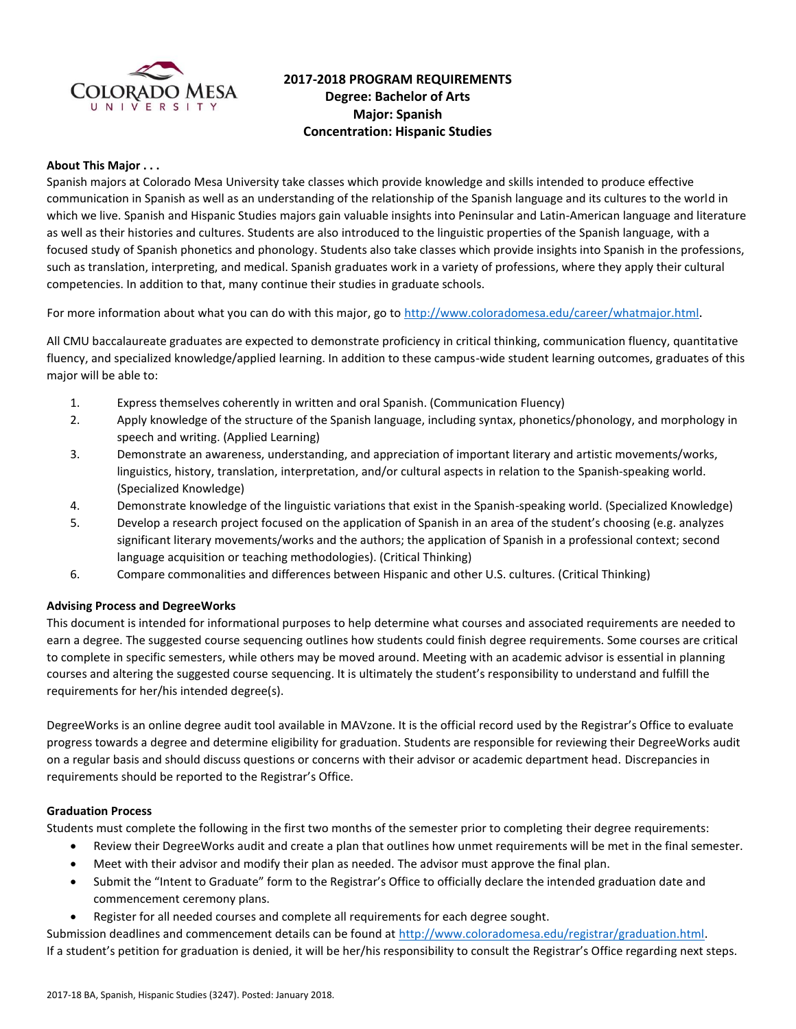

# **2017-2018 PROGRAM REQUIREMENTS Degree: Bachelor of Arts Major: Spanish Concentration: Hispanic Studies**

### **About This Major . . .**

Spanish majors at Colorado Mesa University take classes which provide knowledge and skills intended to produce effective communication in Spanish as well as an understanding of the relationship of the Spanish language and its cultures to the world in which we live. Spanish and Hispanic Studies majors gain valuable insights into Peninsular and Latin-American language and literature as well as their histories and cultures. Students are also introduced to the linguistic properties of the Spanish language, with a focused study of Spanish phonetics and phonology. Students also take classes which provide insights into Spanish in the professions, such as translation, interpreting, and medical. Spanish graduates work in a variety of professions, where they apply their cultural competencies. In addition to that, many continue their studies in graduate schools.

For more information about what you can do with this major, go to<http://www.coloradomesa.edu/career/whatmajor.html>.

All CMU baccalaureate graduates are expected to demonstrate proficiency in critical thinking, communication fluency, quantitative fluency, and specialized knowledge/applied learning. In addition to these campus-wide student learning outcomes, graduates of this major will be able to:

- 1. Express themselves coherently in written and oral Spanish. (Communication Fluency)
- 2. Apply knowledge of the structure of the Spanish language, including syntax, phonetics/phonology, and morphology in speech and writing. (Applied Learning)
- 3. Demonstrate an awareness, understanding, and appreciation of important literary and artistic movements/works, linguistics, history, translation, interpretation, and/or cultural aspects in relation to the Spanish-speaking world. (Specialized Knowledge)
- 4. Demonstrate knowledge of the linguistic variations that exist in the Spanish-speaking world. (Specialized Knowledge)
- 5. Develop a research project focused on the application of Spanish in an area of the student's choosing (e.g. analyzes significant literary movements/works and the authors; the application of Spanish in a professional context; second language acquisition or teaching methodologies). (Critical Thinking)
- 6. Compare commonalities and differences between Hispanic and other U.S. cultures. (Critical Thinking)

### **Advising Process and DegreeWorks**

This document is intended for informational purposes to help determine what courses and associated requirements are needed to earn a degree. The suggested course sequencing outlines how students could finish degree requirements. Some courses are critical to complete in specific semesters, while others may be moved around. Meeting with an academic advisor is essential in planning courses and altering the suggested course sequencing. It is ultimately the student's responsibility to understand and fulfill the requirements for her/his intended degree(s).

DegreeWorks is an online degree audit tool available in MAVzone. It is the official record used by the Registrar's Office to evaluate progress towards a degree and determine eligibility for graduation. Students are responsible for reviewing their DegreeWorks audit on a regular basis and should discuss questions or concerns with their advisor or academic department head. Discrepancies in requirements should be reported to the Registrar's Office.

### **Graduation Process**

Students must complete the following in the first two months of the semester prior to completing their degree requirements:

- Review their DegreeWorks audit and create a plan that outlines how unmet requirements will be met in the final semester.
- Meet with their advisor and modify their plan as needed. The advisor must approve the final plan.
- Submit the "Intent to Graduate" form to the Registrar's Office to officially declare the intended graduation date and commencement ceremony plans.
- Register for all needed courses and complete all requirements for each degree sought.

Submission deadlines and commencement details can be found at [http://www.coloradomesa.edu/registrar/graduation.html.](http://www.coloradomesa.edu/registrar/graduation.html) If a student's petition for graduation is denied, it will be her/his responsibility to consult the Registrar's Office regarding next steps.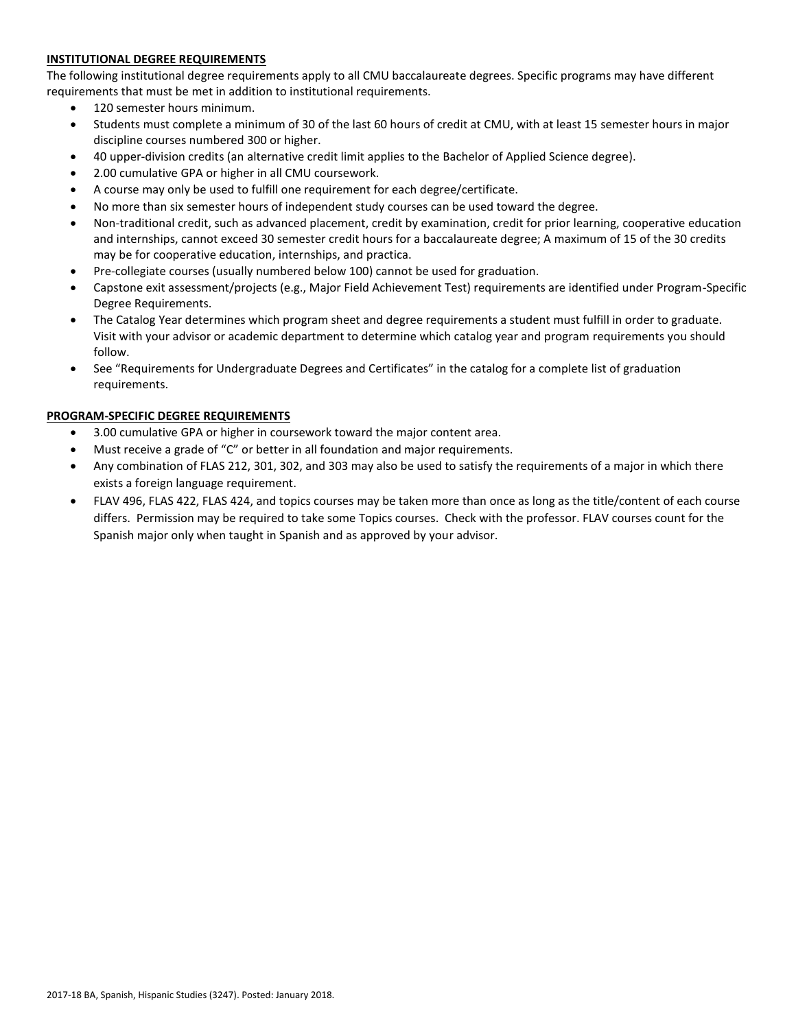## **INSTITUTIONAL DEGREE REQUIREMENTS**

The following institutional degree requirements apply to all CMU baccalaureate degrees. Specific programs may have different requirements that must be met in addition to institutional requirements.

- 120 semester hours minimum.
- Students must complete a minimum of 30 of the last 60 hours of credit at CMU, with at least 15 semester hours in major discipline courses numbered 300 or higher.
- 40 upper-division credits (an alternative credit limit applies to the Bachelor of Applied Science degree).
- 2.00 cumulative GPA or higher in all CMU coursework.
- A course may only be used to fulfill one requirement for each degree/certificate.
- No more than six semester hours of independent study courses can be used toward the degree.
- Non-traditional credit, such as advanced placement, credit by examination, credit for prior learning, cooperative education and internships, cannot exceed 30 semester credit hours for a baccalaureate degree; A maximum of 15 of the 30 credits may be for cooperative education, internships, and practica.
- Pre-collegiate courses (usually numbered below 100) cannot be used for graduation.
- Capstone exit assessment/projects (e.g., Major Field Achievement Test) requirements are identified under Program-Specific Degree Requirements.
- The Catalog Year determines which program sheet and degree requirements a student must fulfill in order to graduate. Visit with your advisor or academic department to determine which catalog year and program requirements you should follow.
- See "Requirements for Undergraduate Degrees and Certificates" in the catalog for a complete list of graduation requirements.

## **PROGRAM-SPECIFIC DEGREE REQUIREMENTS**

- 3.00 cumulative GPA or higher in coursework toward the major content area.
- Must receive a grade of "C" or better in all foundation and major requirements.
- Any combination of FLAS 212, 301, 302, and 303 may also be used to satisfy the requirements of a major in which there exists a foreign language requirement.
- FLAV 496, FLAS 422, FLAS 424, and topics courses may be taken more than once as long as the title/content of each course differs. Permission may be required to take some Topics courses. Check with the professor. FLAV courses count for the Spanish major only when taught in Spanish and as approved by your advisor.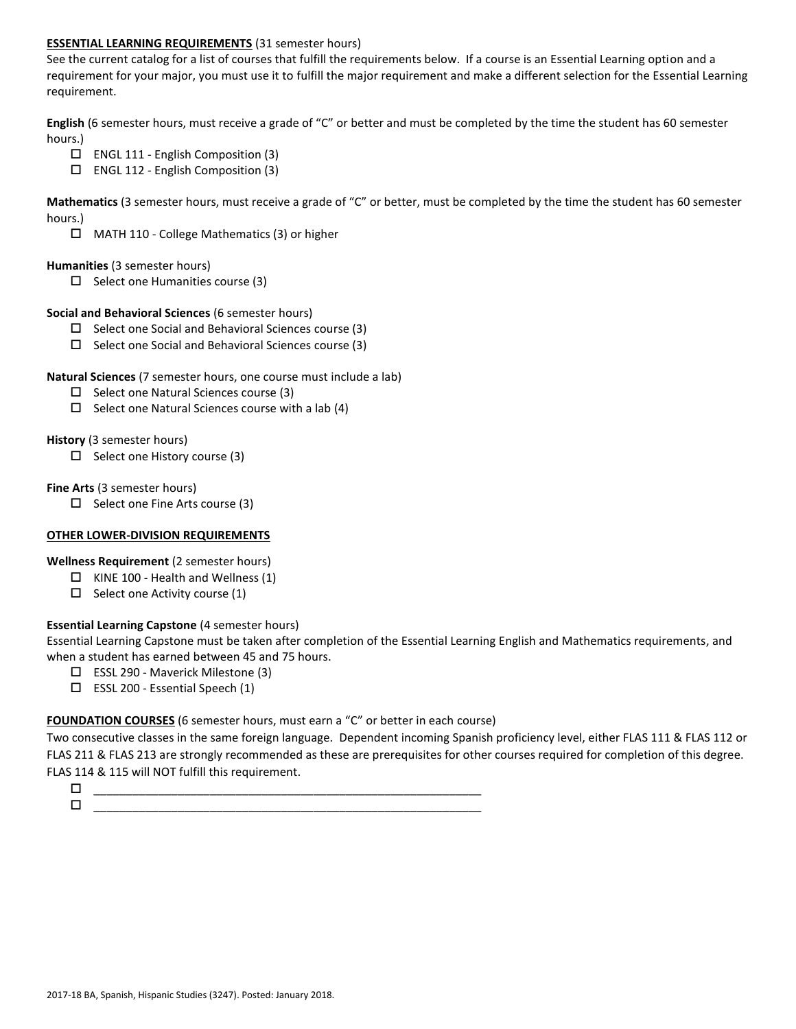## **ESSENTIAL LEARNING REQUIREMENTS** (31 semester hours)

See the current catalog for a list of courses that fulfill the requirements below. If a course is an Essential Learning option and a requirement for your major, you must use it to fulfill the major requirement and make a different selection for the Essential Learning requirement.

**English** (6 semester hours, must receive a grade of "C" or better and must be completed by the time the student has 60 semester hours.)

- ENGL 111 English Composition (3)
- ENGL 112 English Composition (3)

**Mathematics** (3 semester hours, must receive a grade of "C" or better, must be completed by the time the student has 60 semester hours.)

MATH 110 - College Mathematics (3) or higher

### **Humanities** (3 semester hours)

 $\Box$  Select one Humanities course (3)

### **Social and Behavioral Sciences** (6 semester hours)

- $\Box$  Select one Social and Behavioral Sciences course (3)
- $\square$  Select one Social and Behavioral Sciences course (3)

## **Natural Sciences** (7 semester hours, one course must include a lab)

- $\square$  Select one Natural Sciences course (3)
- $\Box$  Select one Natural Sciences course with a lab (4)

## **History** (3 semester hours)

 $\Box$  Select one History course (3)

## **Fine Arts** (3 semester hours)

 $\Box$  Select one Fine Arts course (3)

## **OTHER LOWER-DIVISION REQUIREMENTS**

**Wellness Requirement** (2 semester hours)

- $\Box$  KINE 100 Health and Wellness (1)
- $\Box$  Select one Activity course (1)

## **Essential Learning Capstone** (4 semester hours)

Essential Learning Capstone must be taken after completion of the Essential Learning English and Mathematics requirements, and when a student has earned between 45 and 75 hours.

- ESSL 290 Maverick Milestone (3)
- $\square$  ESSL 200 Essential Speech (1)

## **FOUNDATION COURSES** (6 semester hours, must earn a "C" or better in each course)

Two consecutive classes in the same foreign language. Dependent incoming Spanish proficiency level, either FLAS 111 & FLAS 112 or FLAS 211 & FLAS 213 are strongly recommended as these are prerequisites for other courses required for completion of this degree. FLAS 114 & 115 will NOT fulfill this requirement.

 \_\_\_\_\_\_\_\_\_\_\_\_\_\_\_\_\_\_\_\_\_\_\_\_\_\_\_\_\_\_\_\_\_\_\_\_\_\_\_\_\_\_\_\_\_\_\_\_\_\_\_\_\_\_\_\_\_\_\_\_  $\Box$   $\underline{\hspace{1cm}}$   $\underline{\hspace{1cm}}$   $\underline{\hspace{1cm}}$   $\underline{\hspace{1cm}}$   $\overline{\hspace{1cm}}$   $\overline{\hspace{1cm}}$   $\overline{\hspace{1cm}}$   $\overline{\hspace{1cm}}$   $\overline{\hspace{1cm}}$   $\overline{\hspace{1cm}}$   $\overline{\hspace{1cm}}$   $\overline{\hspace{1cm}}$   $\overline{\hspace{1cm}}$   $\overline{\hspace{1cm}}$   $\overline{\hspace{1cm}}$   $\overline{\hspace{1cm}}$   $\overline{\hspace{1$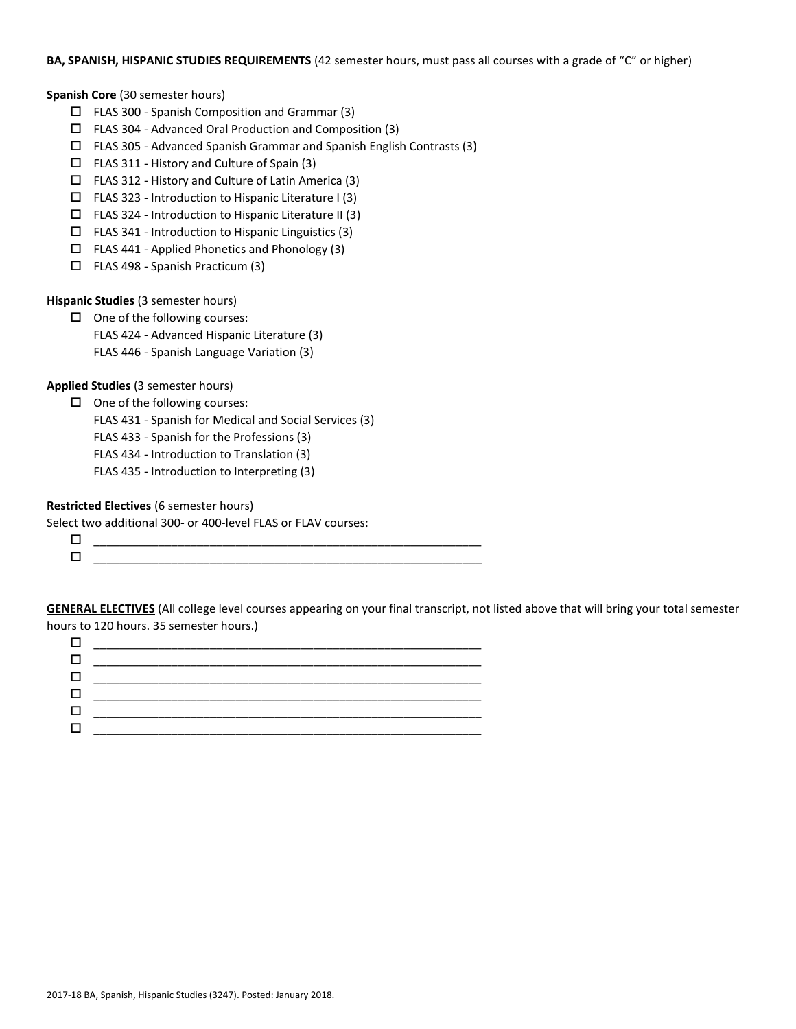## **BA, SPANISH, HISPANIC STUDIES REQUIREMENTS** (42 semester hours, must pass all courses with a grade of "C" or higher)

**Spanish Core** (30 semester hours)

- $\Box$  FLAS 300 Spanish Composition and Grammar (3)
- FLAS 304 Advanced Oral Production and Composition (3)
- FLAS 305 Advanced Spanish Grammar and Spanish English Contrasts (3)
- FLAS 311 History and Culture of Spain (3)
- $\Box$  FLAS 312 History and Culture of Latin America (3)
- $\Box$  FLAS 323 Introduction to Hispanic Literature I (3)
- $\square$  FLAS 324 Introduction to Hispanic Literature II (3)
- $\Box$  FLAS 341 Introduction to Hispanic Linguistics (3)
- FLAS 441 Applied Phonetics and Phonology (3)
- $\Box$  FLAS 498 Spanish Practicum (3)

**Hispanic Studies** (3 semester hours)

 $\Box$  One of the following courses: FLAS 424 - Advanced Hispanic Literature (3)

FLAS 446 - Spanish Language Variation (3)

**Applied Studies** (3 semester hours)

 $\Box$  One of the following courses:

FLAS 431 - Spanish for Medical and Social Services (3)

- FLAS 433 Spanish for the Professions (3)
- FLAS 434 Introduction to Translation (3)
- FLAS 435 Introduction to Interpreting (3)

**Restricted Electives** (6 semester hours)

Select two additional 300- or 400-level FLAS or FLAV courses:

| ______________                                          |  |
|---------------------------------------------------------|--|
| _______________<br>_________<br>_____<br>________<br>__ |  |
|                                                         |  |

**GENERAL ELECTIVES** (All college level courses appearing on your final transcript, not listed above that will bring your total semester hours to 120 hours. 35 semester hours.)

| _________ |
|-----------|
|           |
|           |
|           |
|           |
|           |
|           |